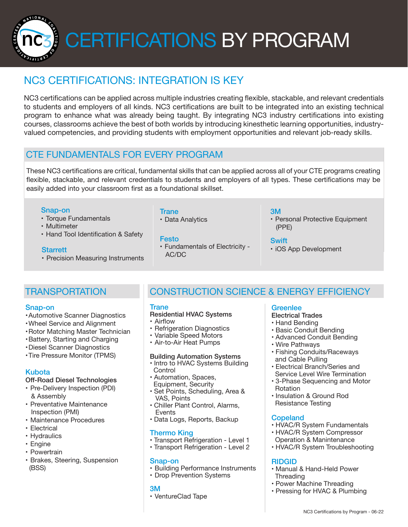CERTIFICATIONS BY PROGRAM

# NC3 CERTIFICATIONS: INTEGRATION IS KEY

NC3 certifications can be applied across multiple industries creating flexible, stackable, and relevant credentials to students and employers of all kinds. NC3 certifications are built to be integrated into an existing technical program to enhance what was already being taught. By integrating NC3 industry certifications into existing courses, classrooms achieve the best of both worlds by introducing kinesthetic learning opportunities, industryvalued competencies, and providing students with employment opportunities and relevant job-ready skills.

# CTE FUNDAMENTALS FOR EVERY PROGRAM

These NC3 certifications are critical, fundamental skills that can be applied across all of your CTE programs creating flexible, stackable, and relevant credentials to students and employers of all types. These certifications may be easily added into your classroom first as a foundational skillset.

#### Snap-on

NATIONAL

- Torque Fundamentals
- Multimeter
- Hand Tool Identification & Safety

#### **Starrett**

• Precision Measuring Instruments

# **Trane**

• Data Analytics

• Fundamentals of Electricity - AC/DC

#### 3M

• Personal Protective Equipment (PPE)

#### **Swift**

• iOS App Development

# **TRANSPORTATION**

#### Snap-on

- •Automotive Scanner Diagnostics
- •Wheel Service and Alignment
- •Rotor Matching Master Technician
- •Battery, Starting and Charging
- •Diesel Scanner Diagnostics
- •Tire Pressure Monitor (TPMS)

#### Kubota

### Off-Road Diesel Technologies

- Pre-Delivery Inspection (PDI) & Assembly
- Preventative Maintenance Inspection (PMI)
- Maintenance Procedures
- Electrical
- Hydraulics
- Engine
- Powertrain
- Brakes, Steering, Suspension (BSS)

# CONSTRUCTION SCIENCE & ENERGY EFFICIENCY

#### **Trane**

#### Residential HVAC Systems

- Airflow
- Refrigeration Diagnostics
- Variable Speed Motors
- Air-to-Air Heat Pumps

#### Building Automation Systems

- Intro to HVAC Systems Building **Control**
- Automation, Spaces, Equipment, Security
- Set Points, Scheduling, Area & VAS, Points
- Chiller Plant Control, Alarms, **Events**
- Data Logs, Reports, Backup

#### Thermo King

- Transport Refrigeration Level 1
- Transport Refrigeration Level 2

#### Snap-on

- Building Performance Instruments
- Drop Prevention Systems

#### 3M

• VentureClad Tape

### **Greenlee**

- Electrical Trades
- Hand Bending
- Basic Conduit Bending
- Advanced Conduit Bending
- Wire Pathways
- Fishing Conduits/Raceways and Cable Pulling
- Electrical Branch/Series and Service Level Wire Termination
- 3-Phase Sequencing and Motor Rotation
- Insulation & Ground Rod Resistance Testing

#### **Copeland**

- HVAC/R System Fundamentals
- HVAC/R System Compressor Operation & Manintenance
- HVAC/R System Troubleshooting

#### RIDGID

- Manual & Hand-Held Power **Threading**
- Power Machine Threading
- Pressing for HVAC & Plumbing